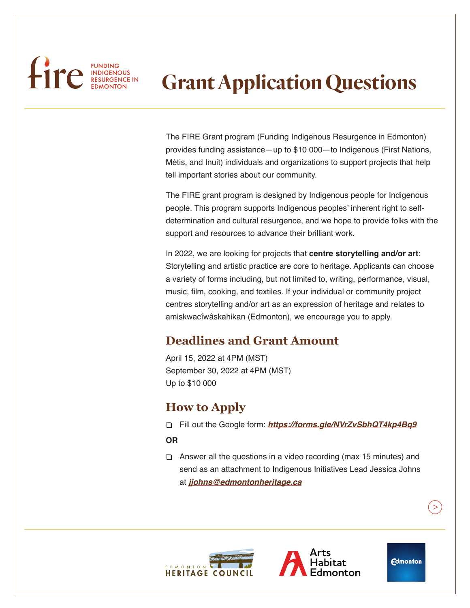# FUNDING FUNDING

# **Grant Application Questions**

The FIRE Grant program (Funding Indigenous Resurgence in Edmonton) provides funding assistance—up to \$10 000—to Indigenous (First Nations, Métis, and Inuit) individuals and organizations to support projects that help tell important stories about our community.

The FIRE grant program is designed by Indigenous people for Indigenous people. This program supports Indigenous peoples' inherent right to selfdetermination and cultural resurgence, and we hope to provide folks with the support and resources to advance their brilliant work.

In 2022, we are looking for projects that **centre storytelling and/or art**: Storytelling and artistic practice are core to heritage. Applicants can choose a variety of forms including, but not limited to, writing, performance, visual, music, film, cooking, and textiles. If your individual or community project centres storytelling and/or art as an expression of heritage and relates to amiskwacîwâskahikan (Edmonton), we encourage you to apply.

# **Deadlines and Grant Amount**

April 15, 2022 at 4PM (MST) September 30, 2022 at 4PM (MST) Up to \$10 000

## **How to Apply**

φ Fill out the Google form: *<https://forms.gle/NVrZvSbhQT4kp4Bq9>*

#### **OR**

 $\Box$  Answer all the questions in a video recording (max 15 minutes) and send as an attachment to Indigenous Initiatives Lead Jessica Johns at *[jjohns@edmontonheritage.ca](mailto:jjohns%40edmontonheritage.ca?subject=)*





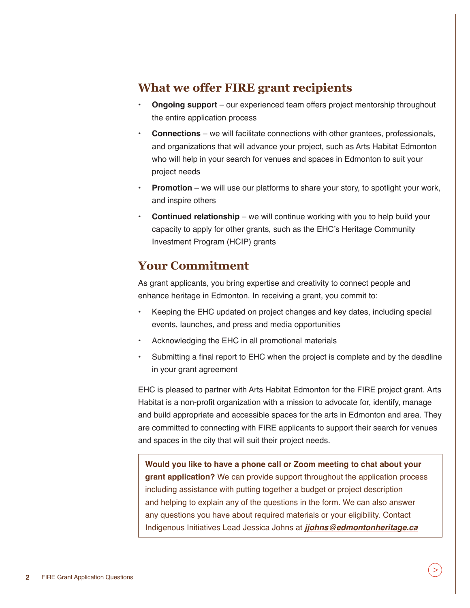#### **What we offer FIRE grant recipients**

- **• Ongoing support** our experienced team offers project mentorship throughout the entire application process
- **• Connections** we will facilitate connections with other grantees, professionals, and organizations that will advance your project, such as Arts Habitat Edmonton who will help in your search for venues and spaces in Edmonton to suit your project needs
- **Promotion** we will use our platforms to share your story, to spotlight your work, and inspire others
- **Continued relationship** we will continue working with you to help build your capacity to apply for other grants, such as the EHC's Heritage Community Investment Program (HCIP) grants

## **Your Commitment**

As grant applicants, you bring expertise and creativity to connect people and enhance heritage in Edmonton. In receiving a grant, you commit to:

- Keeping the EHC updated on project changes and key dates, including special events, launches, and press and media opportunities
- Acknowledging the EHC in all promotional materials
- Submitting a final report to EHC when the project is complete and by the deadline in your grant agreement

EHC is pleased to partner with Arts Habitat Edmonton for the FIRE project grant. Arts Habitat is a non-profit organization with a mission to advocate for, identify, manage and build appropriate and accessible spaces for the arts in Edmonton and area. They are committed to connecting with FIRE applicants to support their search for venues and spaces in the city that will suit their project needs.

**Would you like to have a phone call or Zoom meeting to chat about your grant application?** We can provide support throughout the application process including assistance with putting together a budget or project description and helping to explain any of the questions in the form. We can also answer any questions you have about required materials or your eligibility. Contact Indigenous Initiatives Lead Jessica Johns at *[jjohns@edmontonheritage.ca](mailto:jjohns%40edmontonheritage.ca?subject=)*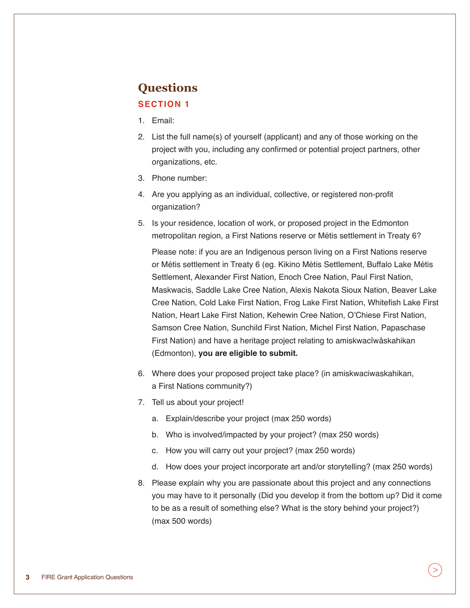# **Questions**

#### **SECTION 1**

- 1. Email:
- 2. List the full name(s) of yourself (applicant) and any of those working on the project with you, including any confirmed or potential project partners, other organizations, etc.
- 3. Phone number:
- 4. Are you applying as an individual, collective, or registered non-profit organization?
- 5. Is your residence, location of work, or proposed project in the Edmonton metropolitan region, a First Nations reserve or Métis settlement in Treaty 6?

Please note: if you are an Indigenous person living on a First Nations reserve or Métis settlement in Treaty 6 (eg. Kikino Métis Settlement, Buffalo Lake Métis Settlement, Alexander First Nation, Enoch Cree Nation, Paul First Nation, Maskwacis, Saddle Lake Cree Nation, Alexis Nakota Sioux Nation, Beaver Lake Cree Nation, Cold Lake First Nation, Frog Lake First Nation, Whitefish Lake First Nation, Heart Lake First Nation, Kehewin Cree Nation, O'Chiese First Nation, Samson Cree Nation, Sunchild First Nation, Michel First Nation, Papaschase First Nation) and have a heritage project relating to amiskwacîwâskahikan (Edmonton), **you are eligible to submit.**

- 6. Where does your proposed project take place? (in amiskwaciwaskahikan, a First Nations community?)
- 7. Tell us about your project!
	- a. Explain/describe your project (max 250 words)
	- b. Who is involved/impacted by your project? (max 250 words)
	- c. How you will carry out your project? (max 250 words)
	- d. How does your project incorporate art and/or storytelling? (max 250 words)
- 8. Please explain why you are passionate about this project and any connections you may have to it personally (Did you develop it from the bottom up? Did it come to be as a result of something else? What is the story behind your project?) (max 500 words)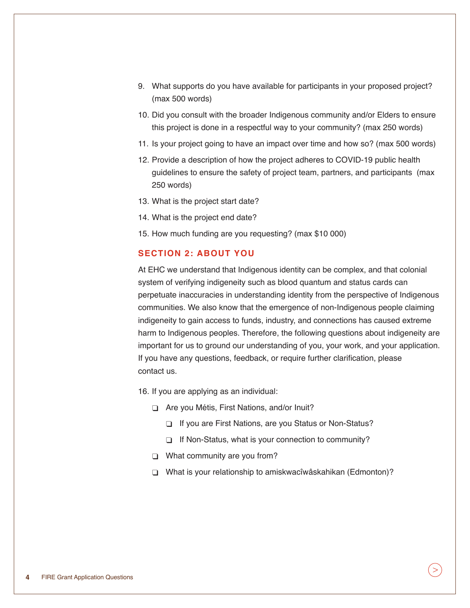- 9. What supports do you have available for participants in your proposed project? (max 500 words)
- 10. Did you consult with the broader Indigenous community and/or Elders to ensure this project is done in a respectful way to your community? (max 250 words)
- 11. Is your project going to have an impact over time and how so? (max 500 words)
- 12. Provide a description of how the project adheres to COVID-19 public health guidelines to ensure the safety of project team, partners, and participants (max 250 words)
- 13. What is the project start date?
- 14. What is the project end date?
- 15. How much funding are you requesting? (max \$10 000)

#### **SECTION 2: ABOUT YOU**

At EHC we understand that Indigenous identity can be complex, and that colonial system of verifying indigeneity such as blood quantum and status cards can perpetuate inaccuracies in understanding identity from the perspective of Indigenous communities. We also know that the emergence of non-Indigenous people claiming indigeneity to gain access to funds, industry, and connections has caused extreme harm to Indigenous peoples. Therefore, the following questions about indigeneity are important for us to ground our understanding of you, your work, and your application. If you have any questions, feedback, or require further clarification, please contact us.

- 16. If you are applying as an individual:
	- φ Are you Métis, First Nations, and/or Inuit?
		- φ If you are First Nations, are you Status or Non-Status?
		- If Non-Status, what is your connection to community?
	- **What community are you from?**
	- φ What is your relationship to amiskwacîwâskahikan (Edmonton)?